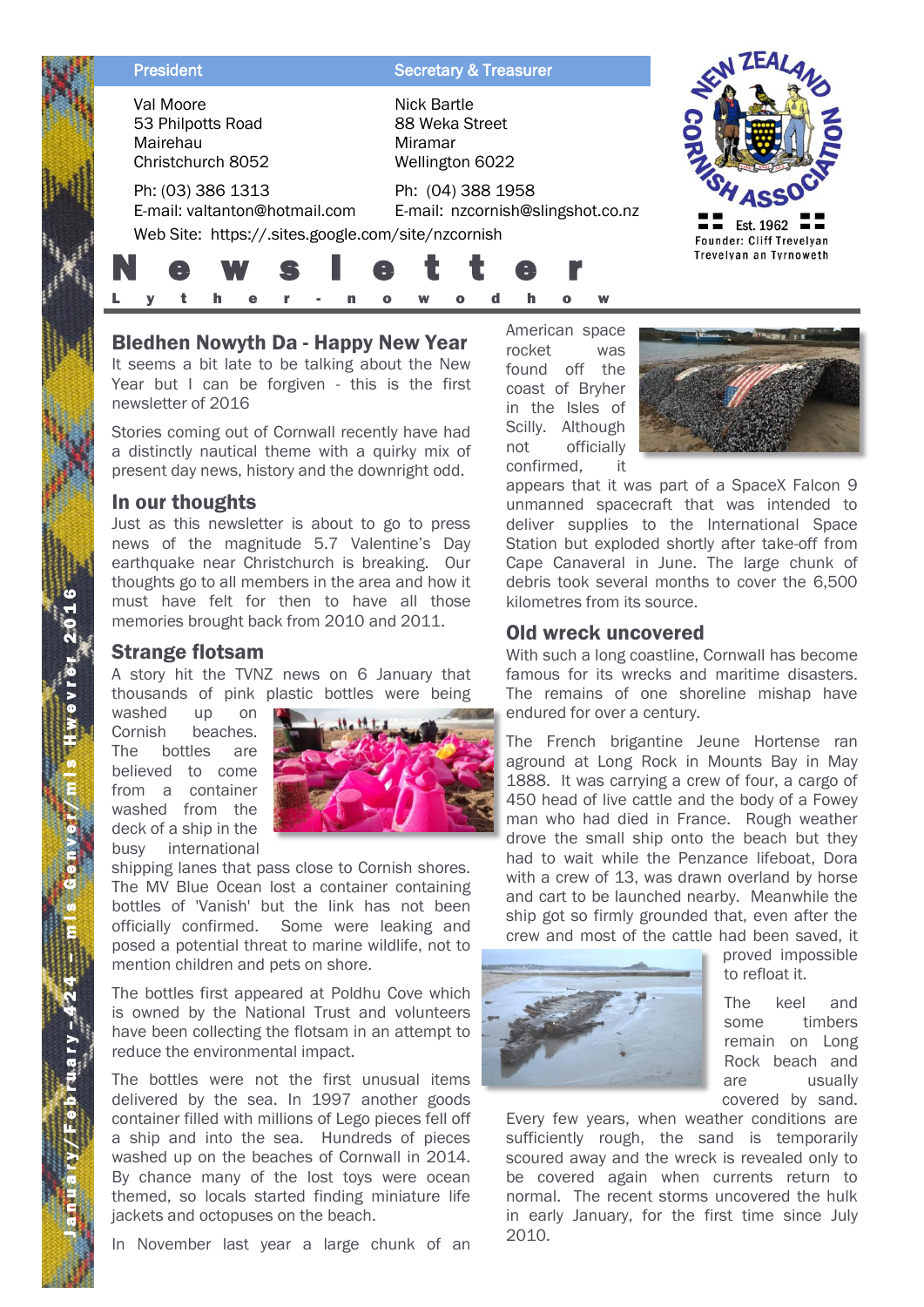| <b>President</b>                                                                                         | <b>Secretary &amp; Treasurer</b>                                   |                                              |
|----------------------------------------------------------------------------------------------------------|--------------------------------------------------------------------|----------------------------------------------|
| Val Moore<br>53 Philpotts Road<br>Mairehau<br>Christchurch 8052                                          | <b>Nick Bartle</b><br>88 Weka Street<br>Miramar<br>Wellington 6022 |                                              |
| Ph: (03) 386 1313<br>E-mail: valtanton@hotmail.com<br>Web Site: https://.sites.google.com/site/nzcornish | Ph: (04) 388 1958<br>E-mail: nzcornish@slingshot.co.nz             | Est. 1962<br><b>Founder: Cliff Trevelyan</b> |
| S<br>E.                                                                                                  | e                                                                  | Trevelyan an Tyrnoweth                       |

# Bledhen Nowyth Da - Happy New Year

It seems a bit late to be talking about the New Year but I can be forgiven - this is the first newsletter of 2016

Stories coming out of Cornwall recently have had a distinctly nautical theme with a quirky mix of present day news, history and the downright odd.

### In our thoughts

Just as this newsletter is about to go to press news of the magnitude 5.7 Valentine's Day earthquake near Christchurch is breaking. Our thoughts go to all members in the area and how it must have felt for then to have all those memories brought back from 2010 and 2011.

#### Strange flotsam

A story hit the TVNZ news on 6 January that thousands of pink plastic bottles were being

washed up on Cornish beaches. The bottles are believed to come from a container washed from the deck of a ship in the busy international



shipping lanes that pass close to Cornish shores. The MV Blue Ocean lost a container containing bottles of 'Vanish' but the link has not been officially confirmed. Some were leaking and posed a potential threat to marine wildlife, not to mention children and pets on shore.

The bottles first appeared at Poldhu Cove which is owned by the National Trust and volunteers have been collecting the flotsam in an attempt to reduce the environmental impact.

The bottles were not the first unusual items delivered by the sea. In 1997 another goods container filled with millions of Lego pieces fell off a ship and into the sea. Hundreds of pieces washed up on the beaches of Cornwall in 2014. By chance many of the lost toys were ocean themed, so locals started finding miniature life jackets and octopuses on the beach.

In November last year a large chunk of an

American space rocket was found off the coast of Bryher in the Isles of Scilly. Although not officially confirmed, it



appears that it was part of a SpaceX Falcon 9 unmanned spacecraft that was intended to deliver supplies to the International Space Station but exploded shortly after take-off from Cape Canaveral in June. The large chunk of debris took several months to cover the 6,500 kilometres from its source.

### Old wreck uncovered

With such a long coastline, Cornwall has become famous for its wrecks and maritime disasters. The remains of one shoreline mishap have endured for over a century.

The French brigantine Jeune Hortense ran aground at Long Rock in Mounts Bay in May 1888. It was carrying a crew of four, a cargo of 450 head of live cattle and the body of a Fowey man who had died in France. Rough weather drove the small ship onto the beach but they had to wait while the Penzance lifeboat, Dora with a crew of 13, was drawn overland by horse and cart to be launched nearby. Meanwhile the ship got so firmly grounded that, even after the crew and most of the cattle had been saved, it



proved impossible to refloat it.

The keel and some timbers remain on Long Rock beach and are usually covered by sand.

Every few years, when weather conditions are sufficiently rough, the sand is temporarily scoured away and the wreck is revealed only to be covered again when currents return to normal. The recent storms uncovered the hulk in early January, for the first time since July 2010.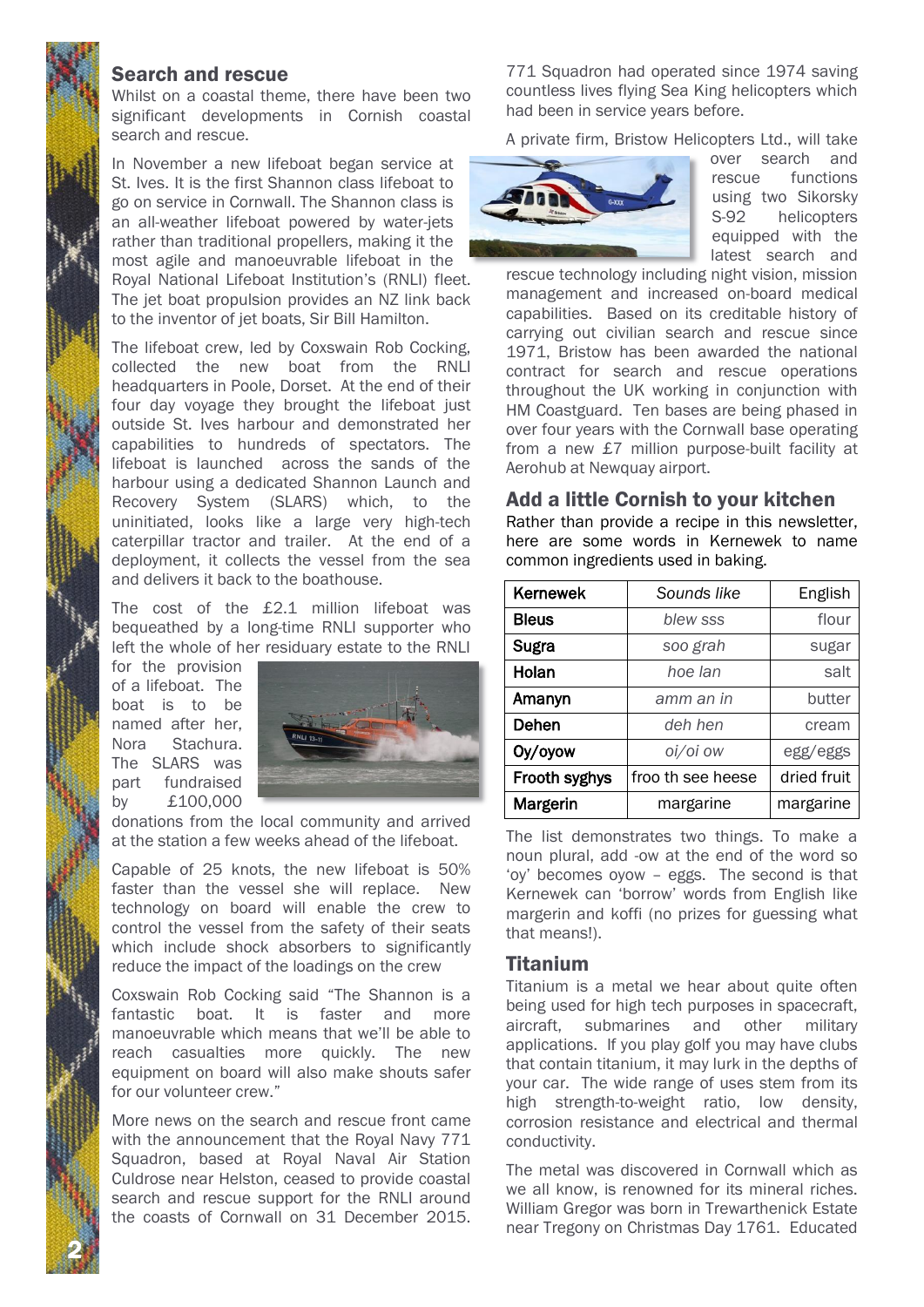### Search and rescue

Whilst on a coastal theme, there have been two significant developments in Cornish coastal search and rescue.

In November a new lifeboat began service at St. Ives. It is the first Shannon class lifeboat to go on service in Cornwall. The Shannon class is an all-weather lifeboat powered by water-jets rather than traditional propellers, making it the most agile and manoeuvrable lifeboat in the Royal National Lifeboat Institution's (RNLI) fleet. The jet boat propulsion provides an NZ link back to the inventor of jet boats, Sir Bill Hamilton.

The lifeboat crew, led by Coxswain Rob Cocking, collected the new boat from the RNLI headquarters in Poole, Dorset. At the end of their four day voyage they brought the lifeboat just outside St. Ives harbour and demonstrated her capabilities to hundreds of spectators. The lifeboat is launched across the sands of the harbour using a dedicated Shannon Launch and Recovery System (SLARS) which, to the uninitiated, looks like a large very high-tech caterpillar tractor and trailer. At the end of a deployment, it collects the vessel from the sea and delivers it back to the boathouse.

The cost of the £2.1 million lifeboat was bequeathed by a long-time RNLI supporter who left the whole of her residuary estate to the RNLI

for the provision of a lifeboat. The boat is to be named after her, Nora Stachura. The SLARS was part fundraised by £100,000

2 N



donations from the local community and arrived at the station a few weeks ahead of the lifeboat.

Capable of 25 knots, the new lifeboat is 50% faster than the vessel she will replace. New technology on board will enable the crew to control the vessel from the safety of their seats which include shock absorbers to significantly reduce the impact of the loadings on the crew

Coxswain Rob Cocking said "The Shannon is a fantastic boat. It is faster and more manoeuvrable which means that we'll be able to reach casualties more quickly. The new equipment on board will also make shouts safer for our volunteer crew."

More news on the search and rescue front came with the announcement that the Royal Navy 771 Squadron, based at Royal Naval Air Station Culdrose near Helston, ceased to provide coastal search and rescue support for the RNLI around the coasts of Cornwall on 31 December 2015.

771 Squadron had operated since 1974 saving countless lives flying Sea King helicopters which had been in service years before.

A private firm, Bristow Helicopters Ltd., will take



over search and rescue functions using two Sikorsky S-92 helicopters equipped with the latest search and

rescue technology including night vision, mission management and increased on-board medical capabilities. Based on its creditable history of carrying out civilian search and rescue since 1971, Bristow has been awarded the national contract for search and rescue operations throughout the UK working in conjunction with HM Coastguard. Ten bases are being phased in over four years with the Cornwall base operating from a new £7 million purpose-built facility at Aerohub at Newquay airport.

#### Add a little Cornish to your kitchen

Rather than provide a recipe in this newsletter, here are some words in Kernewek to name common ingredients used in baking.

| <b>Kernewek</b> | Sounds like       | English     |
|-----------------|-------------------|-------------|
| <b>Bleus</b>    | blew sss          | flour       |
| <b>Sugra</b>    | soo grah          | sugar       |
| Holan           | hoe lan           | salt        |
| Amanyn          | amm an in         | butter      |
| Dehen           | deh hen           | cream       |
| Oy/oyow         | oi/oi ow          | egg/eggs    |
| Frooth syghys   | froo th see heese | dried fruit |
| Margerin        | margarine         | margarine   |

The list demonstrates two things. To make a noun plural, add -ow at the end of the word so 'oy' becomes oyow – eggs. The second is that Kernewek can 'borrow' words from English like margerin and koffi (no prizes for guessing what that means!).

### **Titanium**

Titanium is a metal we hear about quite often being used for high tech purposes in spacecraft, aircraft, submarines and other military applications. If you play golf you may have clubs that contain titanium, it may lurk in the depths of your car. The wide range of uses stem from its high strength-to-weight ratio, low density, corrosion resistance and electrical and thermal conductivity.

The metal was discovered in Cornwall which as we all know, is renowned for its mineral riches. William Gregor was born in Trewarthenick Estate near Tregony on Christmas Day 1761. Educated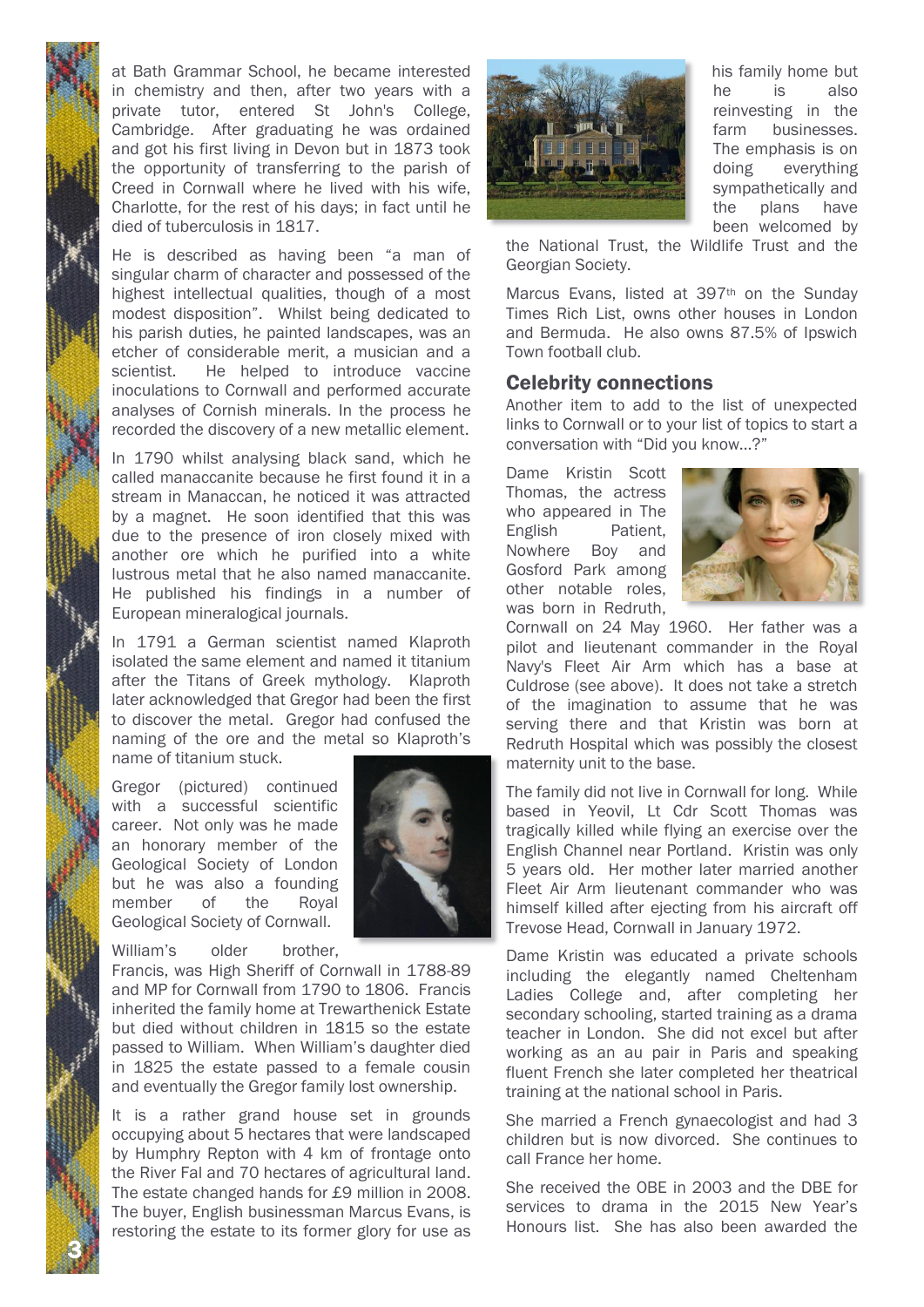at Bath Grammar School, he became interested in chemistry and then, after two years with a private tutor, entered St John's College, Cambridge. After graduating he was ordained and got his first living in Devon but in 1873 took the opportunity of transferring to the parish of Creed in Cornwall where he lived with his wife, Charlotte, for the rest of his days; in fact until he died of tuberculosis in 1817.

He is described as having been "a man of singular charm of character and possessed of the highest intellectual qualities, though of a most modest disposition". Whilst being dedicated to his parish duties, he painted landscapes, was an etcher of considerable merit, a musician and a scientist. He helped to introduce vaccine inoculations to Cornwall and performed accurate analyses of Cornish minerals. In the process he recorded the discovery of a new metallic element.

In 1790 whilst analysing black sand, which he called manaccanite because he first found it in a stream in Manaccan, he noticed it was attracted by a magnet. He soon identified that this was due to the presence of iron closely mixed with another ore which he purified into a white lustrous metal that he also named manaccanite. He published his findings in a number of European mineralogical journals.

In 1791 a German scientist named Klaproth isolated the same element and named it titanium after the Titans of Greek mythology. Klaproth later acknowledged that Gregor had been the first to discover the metal. Gregor had confused the naming of the ore and the metal so Klaproth's name of titanium stuck.

Gregor (pictured) continued with a successful scientific career. Not only was he made an honorary member of the Geological Society of London but he was also a founding member of the Royal Geological Society of Cornwall.

William's older brother,

3 N

Francis, was High Sheriff of Cornwall in 1788-89 and MP for Cornwall from 1790 to 1806. Francis inherited the family home at Trewarthenick Estate but died without children in 1815 so the estate passed to William. When William's daughter died in 1825 the estate passed to a female cousin and eventually the Gregor family lost ownership.

It is a rather grand house set in grounds occupying about 5 hectares that were landscaped by Humphry Repton with 4 km of frontage onto the River Fal and 70 hectares of agricultural land. The estate changed hands for £9 million in 2008. The buyer, English businessman Marcus Evans, is restoring the estate to its former glory for use as





his family home but he is also reinvesting in the farm businesses. The emphasis is on doing everything sympathetically and the plans have been welcomed by

the National Trust, the Wildlife Trust and the Georgian Society.

Marcus Evans, listed at 397<sup>th</sup> on the Sunday Times Rich List, owns other houses in London and Bermuda. He also owns 87.5% of Ipswich Town football club.

### Celebrity connections

Another item to add to the list of unexpected links to Cornwall or to your list of topics to start a conversation with "Did you know…?"

Dame Kristin Scott Thomas, the actress who appeared in The English Patient, Nowhere Boy and Gosford Park among other notable roles, was born in Redruth,



Cornwall on 24 May 1960. Her father was a pilot and lieutenant commander in the Royal Navy's Fleet Air Arm which has a base at Culdrose (see above). It does not take a stretch of the imagination to assume that he was serving there and that Kristin was born at Redruth Hospital which was possibly the closest maternity unit to the base.

The family did not live in Cornwall for long. While based in Yeovil, Lt Cdr Scott Thomas was tragically killed while flying an exercise over the English Channel near Portland. Kristin was only 5 years old. Her mother later married another Fleet Air Arm lieutenant commander who was himself killed after ejecting from his aircraft off Trevose Head, Cornwall in January 1972.

Dame Kristin was educated a private schools including the elegantly named Cheltenham Ladies College and, after completing her secondary schooling, started training as a drama teacher in London. She did not excel but after working as an au pair in Paris and speaking fluent French she later completed her theatrical training at the national school in Paris.

She married a French gynaecologist and had 3 children but is now divorced. She continues to call France her home.

She received the OBE in 2003 and the DBE for services to drama in the 2015 New Year's Honours list. She has also been awarded the